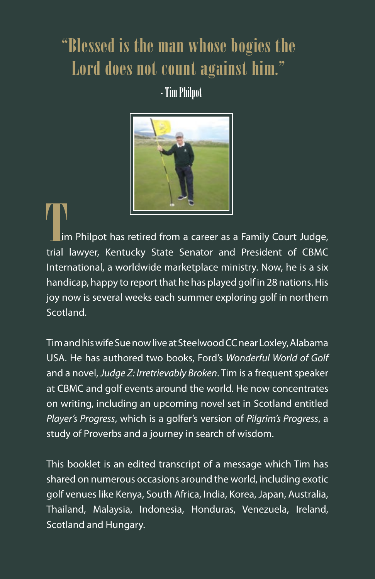## "Blessed is the man whose bogies the Lord does not count against him."

- Tim Philpot



 im Philpot has retired from a career as a Family Court Judge, THE TERRY ON THE READ OF THE READ OF THE READ OF THE READ OF THE READ OF THE READ OF THE READ OF THE READ OF THE READ OF THE READ OF THE READ OF THE READ OF THE READ OF THE READ OF THE READ OF THE READ OF THE READ OF THE R International, a worldwide marketplace ministry. Now, he is a six handicap, happy to report that he has played golf in 28 nations. His joy now is several weeks each summer exploring golf in northern Scotland.

Tim and his wife Sue now live at Steelwood CC near Loxley, Alabama USA. He has authored two books, Ford's *Wonderful World of Golf*  and a novel, *Judge Z: Irretrievably Broken*. Tim is a frequent speaker at CBMC and golf events around the world. He now concentrates on writing, including an upcoming novel set in Scotland entitled *Player's Progress*, which is a golfer's version of *Pilgrim's Progress*, a study of Proverbs and a journey in search of wisdom.

This booklet is an edited transcript of a message which Tim has shared on numerous occasions around the world, including exotic golf venues like Kenya, South Africa, India, Korea, Japan, Australia, Thailand, Malaysia, Indonesia, Honduras, Venezuela, Ireland, Scotland and Hungary.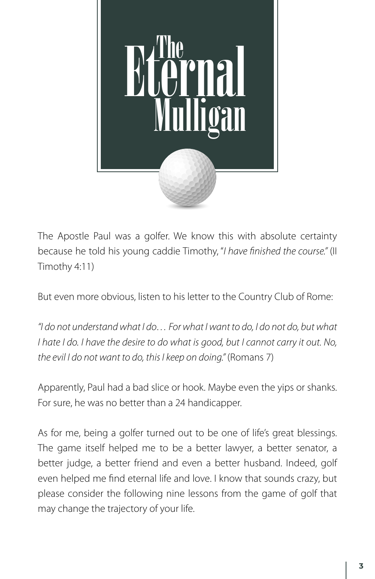

The Apostle Paul was a golfer. We know this with absolute certainty because he told his young caddie Timothy, "*I have finished the course."* (II Timothy 4:11)

But even more obvious, listen to his letter to the Country Club of Rome:

*"I do not understand what I do… For what I want to do, I do not do, but what I hate I do. I have the desire to do what is good, but I cannot carry it out. No, the evil I do not want to do, this I keep on doing."* (Romans 7)

Apparently, Paul had a bad slice or hook. Maybe even the yips or shanks. For sure, he was no better than a 24 handicapper.

As for me, being a golfer turned out to be one of life's great blessings. The game itself helped me to be a better lawyer, a better senator, a better judge, a better friend and even a better husband. Indeed, golf even helped me find eternal life and love. I know that sounds crazy, but please consider the following nine lessons from the game of golf that may change the trajectory of your life.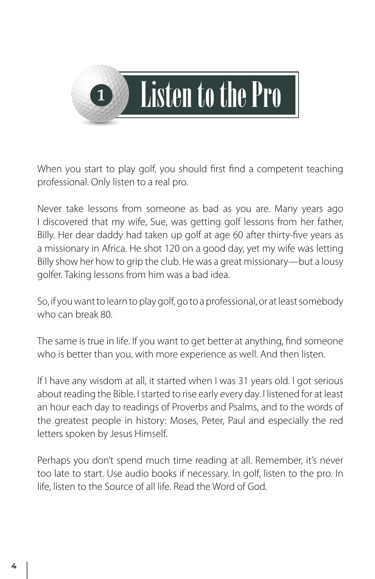

When you start to play golf, you should first find a competent teaching professional. Only listen to a real pro.

Never take lessons from someone as bad as you are. Many years ago I discovered that my wife, Sue, was getting golf lessons from her father, Billy. Her dear daddy had taken up golf at age 60 after thirty-five years as a missionary in Africa. He shot 120 on a good day, yet my wife was letting Billy show her how to grip the club. He was a great missionary—but a lousy golfer. Taking lessons from him was a bad idea.

So, if you want to learn to play golf, go to a professional, or at least somebody who can break 80.

The same is true in life. If you want to get better at anything, find someone who is better than you, with more experience as well. And then listen.

If I have any wisdom at all, it started when I was 31 years old. I got serious about reading the Bible. I started to rise early every day. I listened for at least an hour each day to readings of Proverbs and Psalms, and to the words of the greatest people in history: Moses, Peter, Paul and especially the red letters spoken by Jesus Himself.

Perhaps you don't spend much time reading at all. Remember, it's never too late to start. Use audio books if necessary. In golf, listen to the pro. In life, listen to the Source of all life. Read the Word of God.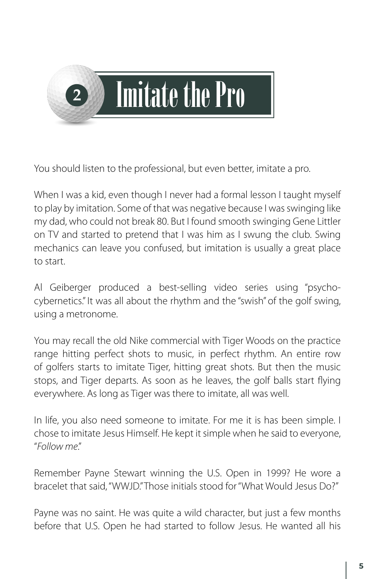

You should listen to the professional, but even better, imitate a pro.

When I was a kid, even though I never had a formal lesson I taught myself to play by imitation. Some of that was negative because I was swinging like my dad, who could not break 80. But I found smooth swinging Gene Littler on TV and started to pretend that I was him as I swung the club. Swing mechanics can leave you confused, but imitation is usually a great place to start.

Al Geiberger produced a best-selling video series using "psychocybernetics." It was all about the rhythm and the "swish" of the golf swing, using a metronome.

You may recall the old Nike commercial with Tiger Woods on the practice range hitting perfect shots to music, in perfect rhythm. An entire row of golfers starts to imitate Tiger, hitting great shots. But then the music stops, and Tiger departs. As soon as he leaves, the golf balls start flying everywhere. As long as Tiger was there to imitate, all was well.

In life, you also need someone to imitate. For me it is has been simple. I chose to imitate Jesus Himself. He kept it simple when he said to everyone, "*Follow me*."

Remember Payne Stewart winning the U.S. Open in 1999? He wore a bracelet that said, "WWJD." Those initials stood for "What Would Jesus Do?"

Payne was no saint. He was quite a wild character, but just a few months before that U.S. Open he had started to follow Jesus. He wanted all his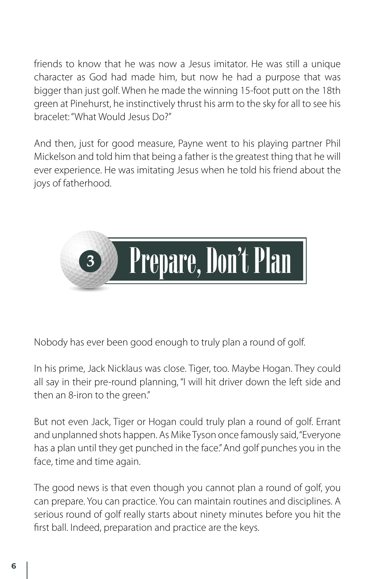friends to know that he was now a Jesus imitator. He was still a unique character as God had made him, but now he had a purpose that was bigger than just golf. When he made the winning 15-foot putt on the 18th green at Pinehurst, he instinctively thrust his arm to the sky for all to see his bracelet: "What Would Jesus Do?"

And then, just for good measure, Payne went to his playing partner Phil Mickelson and told him that being a father is the greatest thing that he will ever experience. He was imitating Jesus when he told his friend about the joys of fatherhood.



Nobody has ever been good enough to truly plan a round of golf.

In his prime, Jack Nicklaus was close. Tiger, too. Maybe Hogan. They could all say in their pre-round planning, "I will hit driver down the left side and then an 8-iron to the green."

But not even Jack, Tiger or Hogan could truly plan a round of golf. Errant and unplanned shots happen. As Mike Tyson once famously said, "Everyone has a plan until they get punched in the face." And golf punches you in the face, time and time again.

The good news is that even though you cannot plan a round of golf, you can prepare. You can practice. You can maintain routines and disciplines. A serious round of golf really starts about ninety minutes before you hit the first ball. Indeed, preparation and practice are the keys.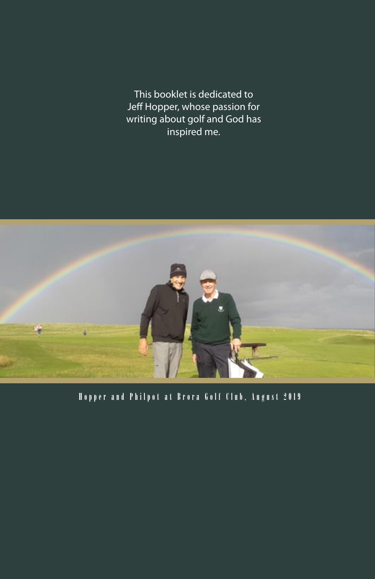This booklet is dedicated to Jeff Hopper, whose passion for writing about golf and God has inspired me.



Hopper and Philpot at Brora Golf Club, August 2019